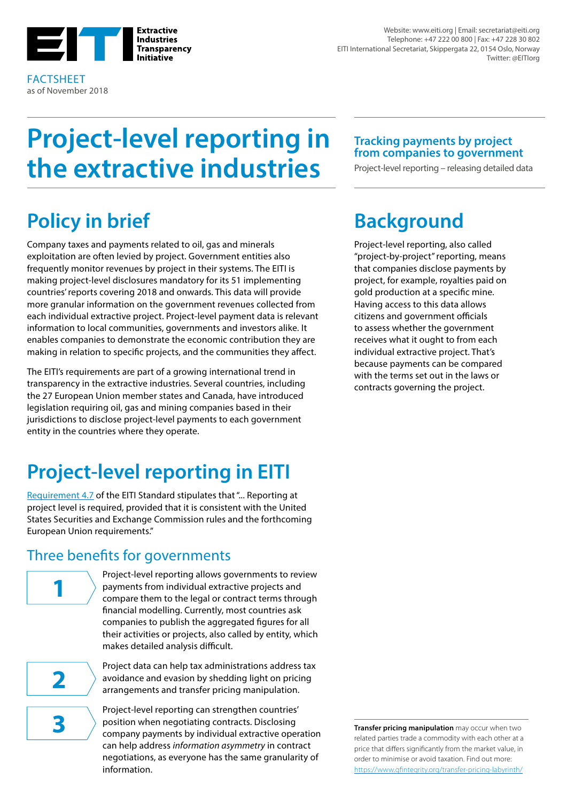

FACTSHEET as of November 2018

Website: www.eiti.org | Email: secretariat@eiti.org Telephone: +47 222 00 800 | Fax: +47 228 30 802 EITI International Secretariat, Skippergata 22, 0154 Oslo, Norway Twitter: @EITIorg

# **Project-level reporting in the extractive industries**

## **Policy in brief**

Company taxes and payments related to oil, gas and minerals exploitation are often levied by project. Government entities also frequently monitor revenues by project in their systems. The EITI is making project-level disclosures mandatory for its 51 implementing countries' reports covering 2018 and onwards. This data will provide more granular information on the government revenues collected from each individual extractive project. Project-level payment data is relevant information to local communities, governments and investors alike. It enables companies to demonstrate the economic contribution they are making in relation to specific projects, and the communities they affect.

The EITI's requirements are part of a growing international trend in transparency in the extractive industries. Several countries, including the 27 European Union member states and Canada, have introduced legislation requiring oil, gas and mining companies based in their jurisdictions to disclose project-level payments to each government entity in the countries where they operate.

## **Project-level reporting in EITI**

[Requirement 4.7](https://eiti.org/document/standard#r4-7) of the EITI Standard stipulates that "... Reporting at project level is required, provided that it is consistent with the United States Securities and Exchange Commission rules and the forthcoming European Union requirements."

### Three benefits for governments

Project-level reporting allows governments to review payments from individual extractive projects and compare them to the legal or contract terms through financial modelling. Currently, most countries ask companies to publish the aggregated figures for all their activities or projects, also called by entity, which makes detailed analysis difficult.

**2**

**1**

Project data can help tax administrations address tax avoidance and evasion by shedding light on pricing arrangements and transfer pricing manipulation.

Project-level reporting can strengthen countries' position when negotiating contracts. Disclosing **3 a starting on the company contracts.** Disclosing **Transfer pricing manipulation** may occur when two **company payments by individual extractive operation** can help address *information asymmetry* in contract negotiations, as everyone has the same granularity of information.

**Tracking payments by project from companies to government**

Project-level reporting – releasing detailed data

## **Background**

Project-level reporting, also called "project-by-project" reporting, means that companies disclose payments by project, for example, royalties paid on gold production at a specific mine. Having access to this data allows citizens and government officials to assess whether the government receives what it ought to from each individual extractive project. That's because payments can be compared with the terms set out in the laws or contracts governing the project.

related parties trade a commodity with each other at a price that differs significantly from the market value, in order to minimise or avoid taxation. Find out [more](https://www.gfintegrity.org/transfer-pricing-labyrinth/): <https://www.gfintegrity.org/transfer-pricing-labyrinth/>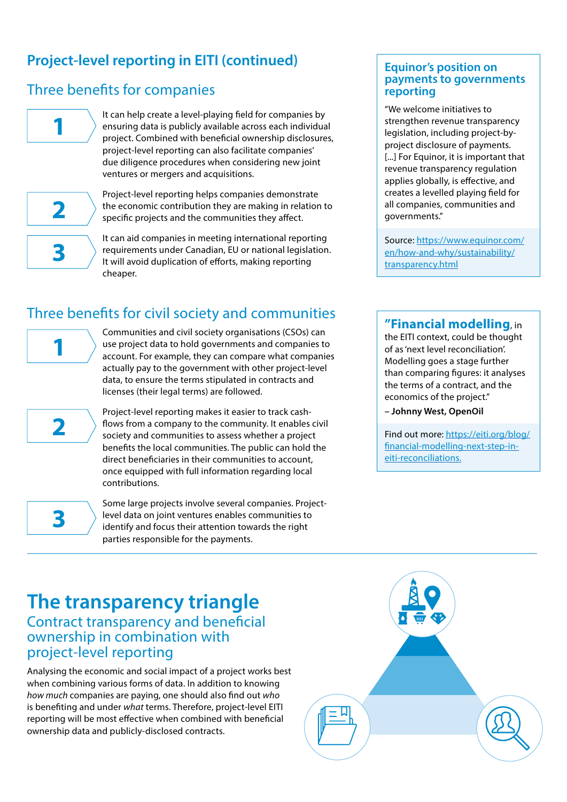### **Project-level reporting in EITI (continued)**

### Three benefits for companies



It can help create a level-playing field for companies by ensuring data is publicly available across each individual project. Combined with beneficial ownership disclosures, project-level reporting can also facilitate companies' due diligence procedures when considering new joint ventures or mergers and acquisitions.



Project-level reporting helps companies demonstrate the economic contribution they are making in relation to specific projects and the communities they affect.

**3**

It can aid companies in meeting international reporting requirements under Canadian, EU or national legislation. It will avoid duplication of efforts, making reporting cheaper.

### Three benefits for civil society and communities



**2**

**3**

Communities and civil society organisations (CSOs) can use project data to hold governments and companies to account. For example, they can compare what companies actually pay to the government with other project-level data, to ensure the terms stipulated in contracts and licenses (their legal terms) are followed.

Project-level reporting makes it easier to track cashflows from a company to the community. It enables civil society and communities to assess whether a project benefits the local communities. The public can hold the direct beneficiaries in their communities to account, once equipped with full information regarding local contributions.

Some large projects involve several companies. Projectlevel data on joint ventures enables communities to identify and focus their attention towards the right parties responsible for the payments.

#### **Equinor's position on payments to governments reporting**

"We welcome initiatives to strengthen revenue transparency legislation, including project-byproject disclosure of payments. [...] For Equinor, it is important that revenue transparency regulation applies globally, is effective, and creates a levelled playing field for all companies, communities and governments."

Source: [https://www.equinor.com/](https://www.equinor.com/en/how-and-why/sustainability/transparency.html) [en/how-and-why/sustainability/](https://www.equinor.com/en/how-and-why/sustainability/transparency.html) [transparency.html](https://www.equinor.com/en/how-and-why/sustainability/transparency.html)

#### **"Financial modelling**, in

the EITI context, could be thought of as 'next level reconciliation'. Modelling goes a stage further than comparing figures: it analyses the terms of a contract, and the economics of the project."

**– Johnny West, OpenOil**

Find out more: https://eiti.org/blog/ financial-modelling-next-step-ineiti-reconciliations.

## **The transparency triangle** Contract transparency and beneficial

ownership in combination with project-level reporting

Analysing the economic and social impact of a project works best when combining various forms of data. In addition to knowing *how much* companies are paying, one should also find out *who* is benefiting and under *what* terms. Therefore, project-level EITI reporting will be most effective when combined with beneficial ownership data and publicly-disclosed contracts.

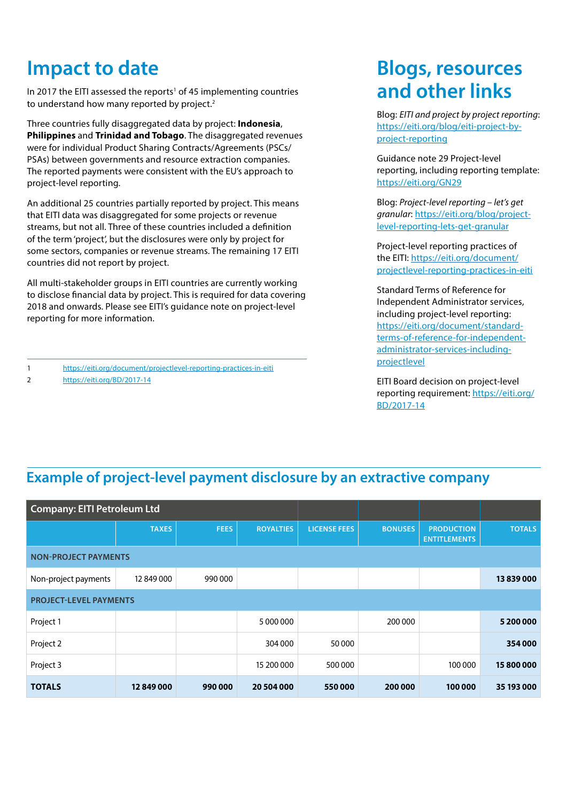## **Impact to date**

In 2017 the EITI assessed the reports<sup>1</sup> of 45 implementing countries to understand how many reported by project.<sup>2</sup>

Three countries fully disaggregated data by project: **Indonesia**, **Philippines** and **Trinidad and Tobago**. The disaggregated revenues were for individual Product Sharing Contracts/Agreements (PSCs/ PSAs) between governments and resource extraction companies. The reported payments were consistent with the EU's approach to project-level reporting.

An additional 25 countries partially reported by project. This means that EITI data was disaggregated for some projects or revenue streams, but not all. Three of these countries included a definition of the term 'project', but the disclosures were only by project for some sectors, companies or revenue streams. The remaining 17 EITI countries did not report by project.

All multi-stakeholder groups in EITI countries are currently working to disclose financial data by project. This is required for data covering 2018 and onwards. Please see EITI's guidance note on project-level reporting for more information.

1 <https://eiti.org/document/projectlevel-reporting-practices-in-eiti>

2 <https://eiti.org/BD/2017-14>

## **Blogs, resources and other links**

Blog: *EITI and project by project reporting*: [https://eiti.org/blog/eiti-project-by](https://eiti.org/blog/eiti-project-by-project-reporting)[project-reporting](https://eiti.org/blog/eiti-project-by-project-reporting)

Guidance note 29 Project-level reporting, including reporting template: <https://eiti.org/GN29>

Blog: *Project-level reporting – let's get granular*: [https://eiti.org/blog/project](https://eiti.org/blog/project-level-reporting-lets-get-granular)[level-reporting-lets-get-granular](https://eiti.org/blog/project-level-reporting-lets-get-granular)

Project-level reporting practices of the EITI: [https://eiti.org/document/](https://eiti.org/document/projectlevel-reporting-practices-in-eiti) [projectlevel-reporting-practices-in-eiti](https://eiti.org/document/projectlevel-reporting-practices-in-eiti)

Standard Terms of Reference for Independent Administrator services, including project-level reporting: [https://eiti.org/document/standard](https://eiti.org/document/standard-terms-of-reference-for-independent-administrator-services-including-projectlevel)[terms-of-reference-for-independent](https://eiti.org/document/standard-terms-of-reference-for-independent-administrator-services-including-projectlevel)[administrator-services-including](https://eiti.org/document/standard-terms-of-reference-for-independent-administrator-services-including-projectlevel)[projectlevel](https://eiti.org/document/standard-terms-of-reference-for-independent-administrator-services-including-projectlevel)

EITI Board decision on project-level reporting requirement: [https://eiti.org/](https://eiti.org/BD/2017-14) [BD/2017-14](https://eiti.org/BD/2017-14)

### **Example of project-level payment disclosure by an extractive company**

| <b>Company: EITI Petroleum Ltd</b> |              |             |                  |                     |                |                                          |               |
|------------------------------------|--------------|-------------|------------------|---------------------|----------------|------------------------------------------|---------------|
|                                    | <b>TAXES</b> | <b>FEES</b> | <b>ROYALTIES</b> | <b>LICENSE FEES</b> | <b>BONUSES</b> | <b>PRODUCTION</b><br><b>ENTITLEMENTS</b> | <b>TOTALS</b> |
| <b>NON-PROJECT PAYMENTS</b>        |              |             |                  |                     |                |                                          |               |
| Non-project payments               | 12 849 000   | 990 000     |                  |                     |                |                                          | 13 839 000    |
| <b>PROJECT-LEVEL PAYMENTS</b>      |              |             |                  |                     |                |                                          |               |
| Project 1                          |              |             | 5 000 000        |                     | 200 000        |                                          | 5 200 000     |
| Project 2                          |              |             | 304 000          | 50000               |                |                                          | 354 000       |
| Project 3                          |              |             | 15 200 000       | 500 000             |                | 100 000                                  | 15800000      |
| <b>TOTALS</b>                      | 12849000     | 990000      | 20 504 000       | 550000              | 200 000        | 100 000                                  | 35 193 000    |